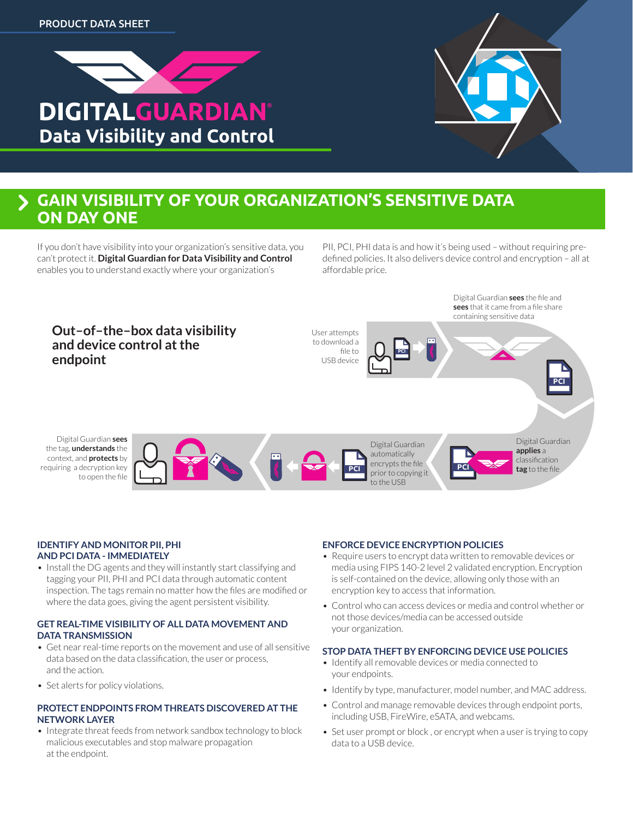



## **GAIN VISIBILITY OF YOUR ORGANIZATION'S SENSITIVE DATA ON DAY ONE**

If you don't have visibility into your organization's sensitive data, you can't protect it. **Digital Guardian for Data Visibility and Control**  enables you to understand exactly where your organization's

PII, PCI, PHI data is and how it's being used – without requiring predefined policies. It also delivers device control and encryption – all at affordable price.



#### **IDENTIFY AND MONITOR PII, PHI AND PCI DATA - IMMEDIATELY**

• Install the DG agents and they will instantly start classifying and tagging your PII, PHI and PCI data through automatic content inspection. The tags remain no matter how the files are modified or where the data goes, giving the agent persistent visibility.

#### **GET REAL-TIME VISIBILITY OF ALL DATA MOVEMENT AND DATA TRANSMISSION**

- Get near real-time reports on the movement and use of all sensitive data based on the data classification, the user or process, and the action.
- Set alerts for policy violations.

### **PROTECT ENDPOINTS FROM THREATS DISCOVERED AT THE NETWORK LAYER**

• Integrate threat feeds from network sandbox technology to block malicious executables and stop malware propagation at the endpoint.

### **ENFORCE DEVICE ENCRYPTION POLICIES**

- Require users to encrypt data written to removable devices or media using FIPS 140-2 level 2 validated encryption. Encryption is self-contained on the device, allowing only those with an encryption key to access that information.
- Control who can access devices or media and control whether or not those devices/media can be accessed outside your organization.

### **STOP DATA THEFT BY ENFORCING DEVICE USE POLICIES**

- Identify all removable devices or media connected to your endpoints.
- Identify by type, manufacturer, model number, and MAC address.
- Control and manage removable devices through endpoint ports, including USB, FireWire, eSATA, and webcams.
- Set user prompt or block, or encrypt when a user is trying to copy data to a USB device.